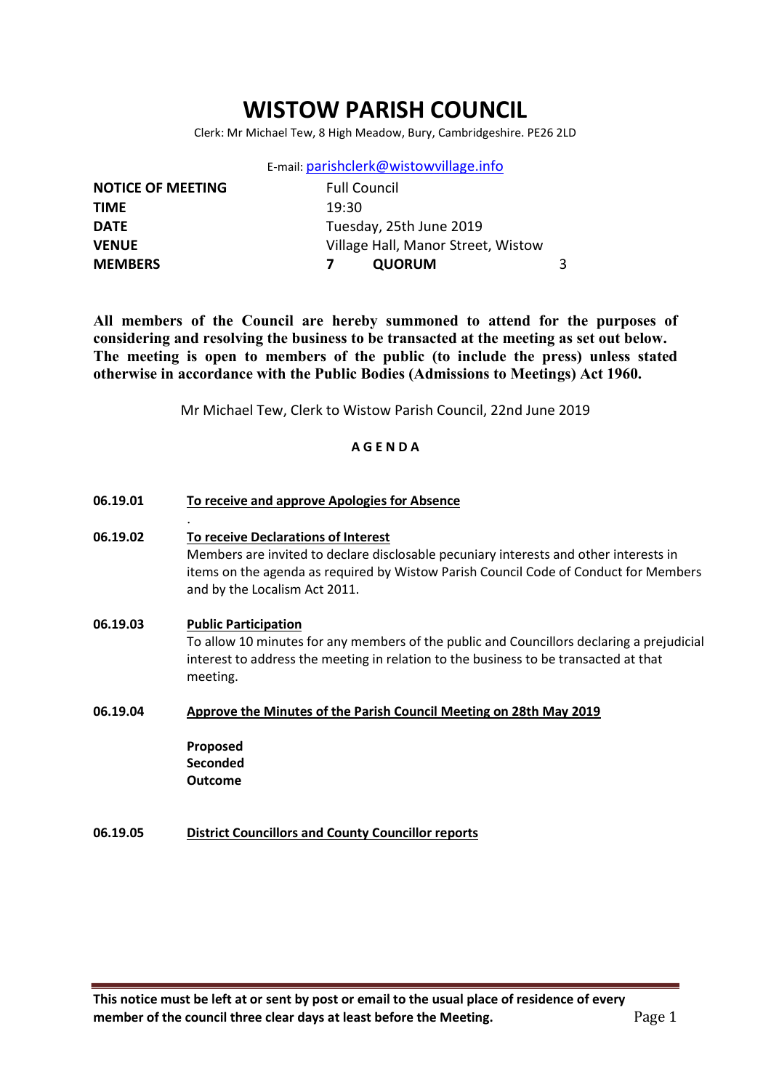# WISTOW PARISH COUNCIL

Clerk: Mr Michael Tew, 8 High Meadow, Bury, Cambridgeshire. PE26 2LD

E-mail: parishclerk@wistowvillage.info

| <b>NOTICE OF MEETING</b> | <b>Full Council</b>                |    |
|--------------------------|------------------------------------|----|
| <b>TIME</b>              | 19:30                              |    |
| <b>DATE</b>              | Tuesday, 25th June 2019            |    |
| <b>VENUE</b>             | Village Hall, Manor Street, Wistow |    |
| <b>MEMBERS</b>           | <b>QUORUM</b>                      | 3. |
|                          |                                    |    |

All members of the Council are hereby summoned to attend for the purposes of considering and resolving the business to be transacted at the meeting as set out below. The meeting is open to members of the public (to include the press) unless stated otherwise in accordance with the Public Bodies (Admissions to Meetings) Act 1960.

Mr Michael Tew, Clerk to Wistow Parish Council, 22nd June 2019

### A G E N D A

- 06.19.01 To receive and approve Apologies for Absence . 06.19.02 To receive Declarations of Interest Members are invited to declare disclosable pecuniary interests and other interests in items on the agenda as required by Wistow Parish Council Code of Conduct for Members and by the Localism Act 2011. 06.19.03 Public Participation To allow 10 minutes for any members of the public and Councillors declaring a prejudicial interest to address the meeting in relation to the business to be transacted at that meeting. 06.19.04 Approve the Minutes of the Parish Council Meeting on 28th May 2019 Proposed Seconded Outcome
- 06.19.05 District Councillors and County Councillor reports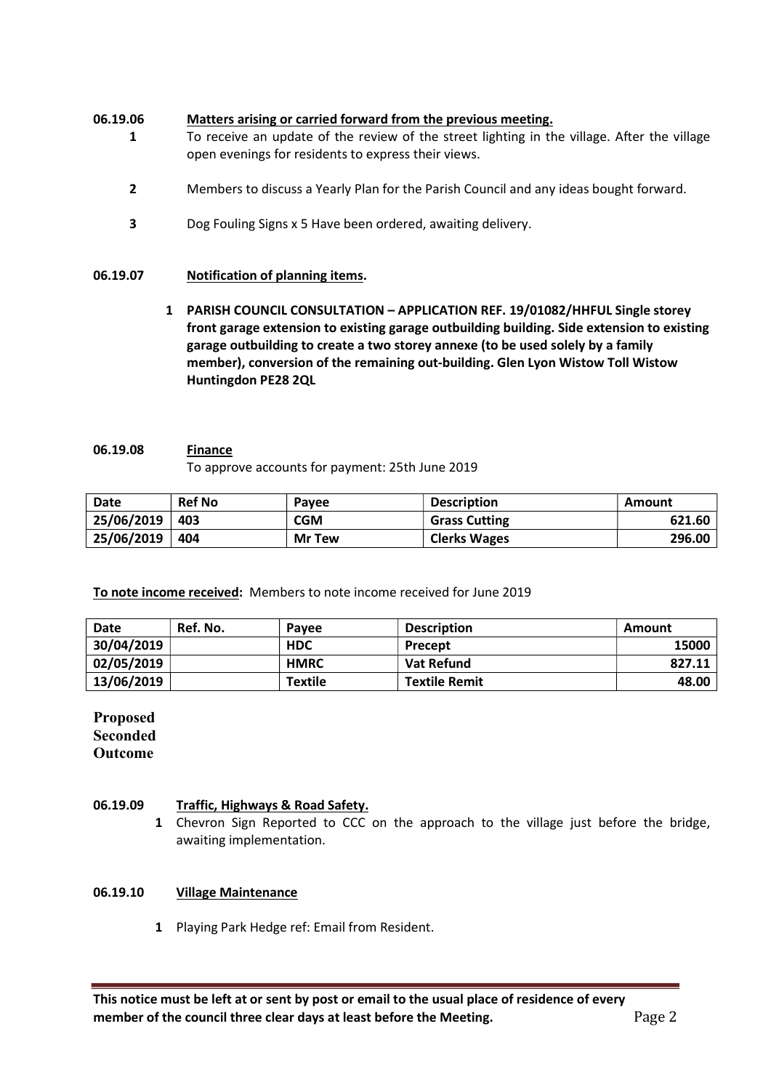### 06.19.06 Matters arising or carried forward from the previous meeting.

- 1 To receive an update of the review of the street lighting in the village. After the village open evenings for residents to express their views.
	- 2 Members to discuss a Yearly Plan for the Parish Council and any ideas bought forward.
	- 3 Dog Fouling Signs x 5 Have been ordered, awaiting delivery.

#### 06.19.07 Notification of planning items.

1 PARISH COUNCIL CONSULTATION – APPLICATION REF. 19/01082/HHFUL Single storey front garage extension to existing garage outbuilding building. Side extension to existing garage outbuilding to create a two storey annexe (to be used solely by a family member), conversion of the remaining out-building. Glen Lyon Wistow Toll Wistow Huntingdon PE28 2QL

### 06.19.08 Finance

To approve accounts for payment: 25th June 2019

| Date       | <b>Ref No</b> | Pavee         | <b>Description</b>   | Amount |
|------------|---------------|---------------|----------------------|--------|
| 25/06/2019 | 403           | <b>CGM</b>    | <b>Grass Cutting</b> | 621.60 |
| 25/06/2019 | 404           | <b>Mr Tew</b> | <b>Clerks Wages</b>  | 296.00 |

To note income received: Members to note income received for June 2019

| <b>Date</b> | Ref. No. | Pavee          | <b>Description</b>   | Amount |
|-------------|----------|----------------|----------------------|--------|
| 30/04/2019  |          | <b>HDC</b>     | Precept              | 15000  |
| 02/05/2019  |          | <b>HMRC</b>    | Vat Refund           | 827.11 |
| 13/06/2019  |          | <b>Textile</b> | <b>Textile Remit</b> | 48.00  |

Proposed Seconded **Outcome** 

#### 06.19.09 Traffic, Highways & Road Safety.

1 Chevron Sign Reported to CCC on the approach to the village just before the bridge, awaiting implementation.

### 06.19.10 Village Maintenance

1 Playing Park Hedge ref: Email from Resident.